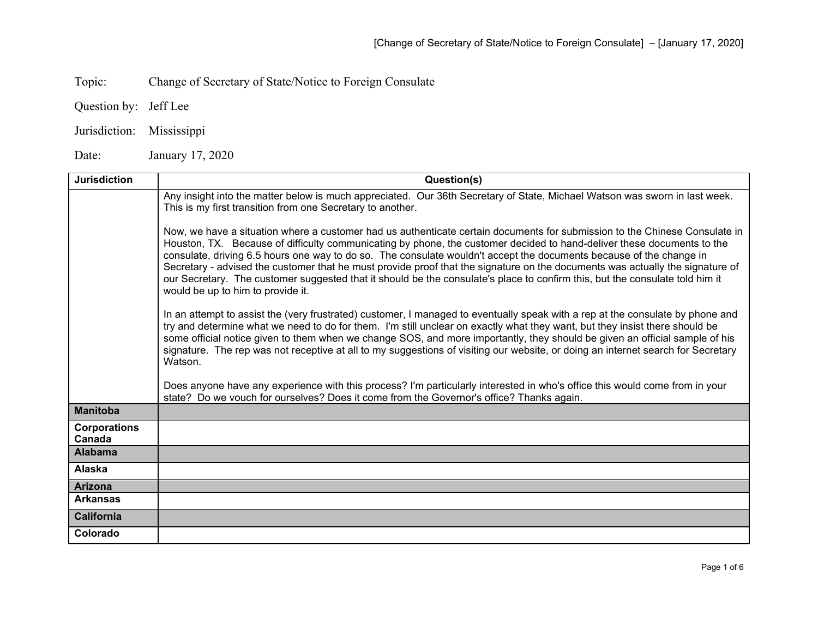Topic: Change of Secretary of State/Notice to Foreign Consulate

Question by: Jeff Lee

Jurisdiction: Mississippi

Date: January 17, 2020

| <b>Jurisdiction</b>           | Question(s)                                                                                                                                                                                                                                                                                                                                                                                                                                                                                                                                                                                                                                                                       |
|-------------------------------|-----------------------------------------------------------------------------------------------------------------------------------------------------------------------------------------------------------------------------------------------------------------------------------------------------------------------------------------------------------------------------------------------------------------------------------------------------------------------------------------------------------------------------------------------------------------------------------------------------------------------------------------------------------------------------------|
|                               | Any insight into the matter below is much appreciated. Our 36th Secretary of State, Michael Watson was sworn in last week.<br>This is my first transition from one Secretary to another.                                                                                                                                                                                                                                                                                                                                                                                                                                                                                          |
|                               | Now, we have a situation where a customer had us authenticate certain documents for submission to the Chinese Consulate in<br>Houston, TX. Because of difficulty communicating by phone, the customer decided to hand-deliver these documents to the<br>consulate, driving 6.5 hours one way to do so. The consulate wouldn't accept the documents because of the change in<br>Secretary - advised the customer that he must provide proof that the signature on the documents was actually the signature of<br>our Secretary. The customer suggested that it should be the consulate's place to confirm this, but the consulate told him it<br>would be up to him to provide it. |
|                               | In an attempt to assist the (very frustrated) customer, I managed to eventually speak with a rep at the consulate by phone and<br>try and determine what we need to do for them. I'm still unclear on exactly what they want, but they insist there should be<br>some official notice given to them when we change SOS, and more importantly, they should be given an official sample of his<br>signature. The rep was not receptive at all to my suggestions of visiting our website, or doing an internet search for Secretary<br>Watson.                                                                                                                                       |
|                               | Does anyone have any experience with this process? I'm particularly interested in who's office this would come from in your<br>state? Do we vouch for ourselves? Does it come from the Governor's office? Thanks again.                                                                                                                                                                                                                                                                                                                                                                                                                                                           |
| <b>Manitoba</b>               |                                                                                                                                                                                                                                                                                                                                                                                                                                                                                                                                                                                                                                                                                   |
| <b>Corporations</b><br>Canada |                                                                                                                                                                                                                                                                                                                                                                                                                                                                                                                                                                                                                                                                                   |
| <b>Alabama</b>                |                                                                                                                                                                                                                                                                                                                                                                                                                                                                                                                                                                                                                                                                                   |
| <b>Alaska</b>                 |                                                                                                                                                                                                                                                                                                                                                                                                                                                                                                                                                                                                                                                                                   |
| <b>Arizona</b>                |                                                                                                                                                                                                                                                                                                                                                                                                                                                                                                                                                                                                                                                                                   |
| <b>Arkansas</b>               |                                                                                                                                                                                                                                                                                                                                                                                                                                                                                                                                                                                                                                                                                   |
| <b>California</b>             |                                                                                                                                                                                                                                                                                                                                                                                                                                                                                                                                                                                                                                                                                   |
| Colorado                      |                                                                                                                                                                                                                                                                                                                                                                                                                                                                                                                                                                                                                                                                                   |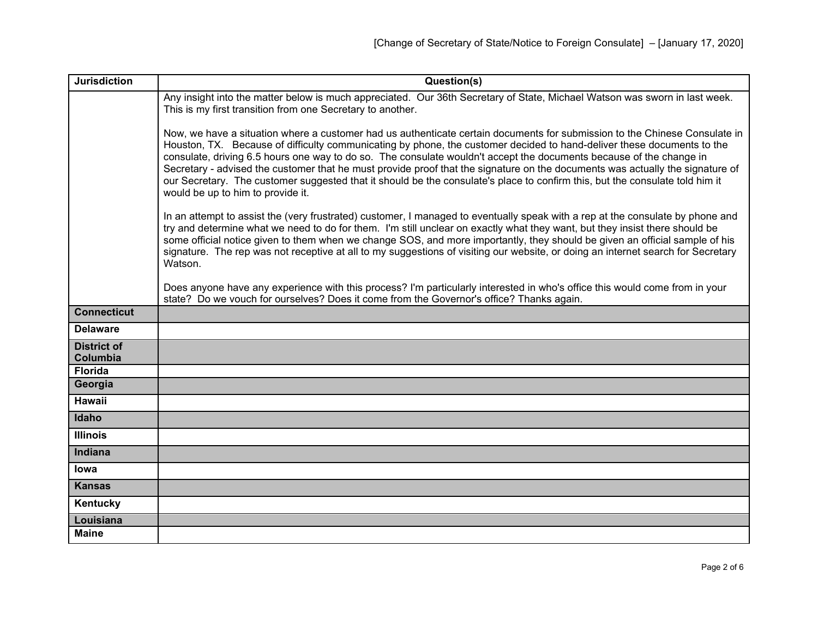| <b>Jurisdiction</b>            | Question(s)                                                                                                                                                                                                                                                                                                                                                                                                                                                                                                                                                                                                                                                                       |
|--------------------------------|-----------------------------------------------------------------------------------------------------------------------------------------------------------------------------------------------------------------------------------------------------------------------------------------------------------------------------------------------------------------------------------------------------------------------------------------------------------------------------------------------------------------------------------------------------------------------------------------------------------------------------------------------------------------------------------|
|                                | Any insight into the matter below is much appreciated. Our 36th Secretary of State, Michael Watson was sworn in last week.<br>This is my first transition from one Secretary to another.                                                                                                                                                                                                                                                                                                                                                                                                                                                                                          |
|                                | Now, we have a situation where a customer had us authenticate certain documents for submission to the Chinese Consulate in<br>Houston, TX. Because of difficulty communicating by phone, the customer decided to hand-deliver these documents to the<br>consulate, driving 6.5 hours one way to do so. The consulate wouldn't accept the documents because of the change in<br>Secretary - advised the customer that he must provide proof that the signature on the documents was actually the signature of<br>our Secretary. The customer suggested that it should be the consulate's place to confirm this, but the consulate told him it<br>would be up to him to provide it. |
|                                | In an attempt to assist the (very frustrated) customer, I managed to eventually speak with a rep at the consulate by phone and<br>try and determine what we need to do for them. I'm still unclear on exactly what they want, but they insist there should be<br>some official notice given to them when we change SOS, and more importantly, they should be given an official sample of his<br>signature. The rep was not receptive at all to my suggestions of visiting our website, or doing an internet search for Secretary<br>Watson.                                                                                                                                       |
|                                | Does anyone have any experience with this process? I'm particularly interested in who's office this would come from in your<br>state? Do we vouch for ourselves? Does it come from the Governor's office? Thanks again.                                                                                                                                                                                                                                                                                                                                                                                                                                                           |
| <b>Connecticut</b>             |                                                                                                                                                                                                                                                                                                                                                                                                                                                                                                                                                                                                                                                                                   |
| <b>Delaware</b>                |                                                                                                                                                                                                                                                                                                                                                                                                                                                                                                                                                                                                                                                                                   |
| <b>District of</b><br>Columbia |                                                                                                                                                                                                                                                                                                                                                                                                                                                                                                                                                                                                                                                                                   |
| <b>Florida</b>                 |                                                                                                                                                                                                                                                                                                                                                                                                                                                                                                                                                                                                                                                                                   |
| Georgia                        |                                                                                                                                                                                                                                                                                                                                                                                                                                                                                                                                                                                                                                                                                   |
| <b>Hawaii</b>                  |                                                                                                                                                                                                                                                                                                                                                                                                                                                                                                                                                                                                                                                                                   |
| Idaho                          |                                                                                                                                                                                                                                                                                                                                                                                                                                                                                                                                                                                                                                                                                   |
| <b>Illinois</b>                |                                                                                                                                                                                                                                                                                                                                                                                                                                                                                                                                                                                                                                                                                   |
| <b>Indiana</b>                 |                                                                                                                                                                                                                                                                                                                                                                                                                                                                                                                                                                                                                                                                                   |
| lowa                           |                                                                                                                                                                                                                                                                                                                                                                                                                                                                                                                                                                                                                                                                                   |
| <b>Kansas</b>                  |                                                                                                                                                                                                                                                                                                                                                                                                                                                                                                                                                                                                                                                                                   |
| Kentucky                       |                                                                                                                                                                                                                                                                                                                                                                                                                                                                                                                                                                                                                                                                                   |
| Louisiana                      |                                                                                                                                                                                                                                                                                                                                                                                                                                                                                                                                                                                                                                                                                   |
| <b>Maine</b>                   |                                                                                                                                                                                                                                                                                                                                                                                                                                                                                                                                                                                                                                                                                   |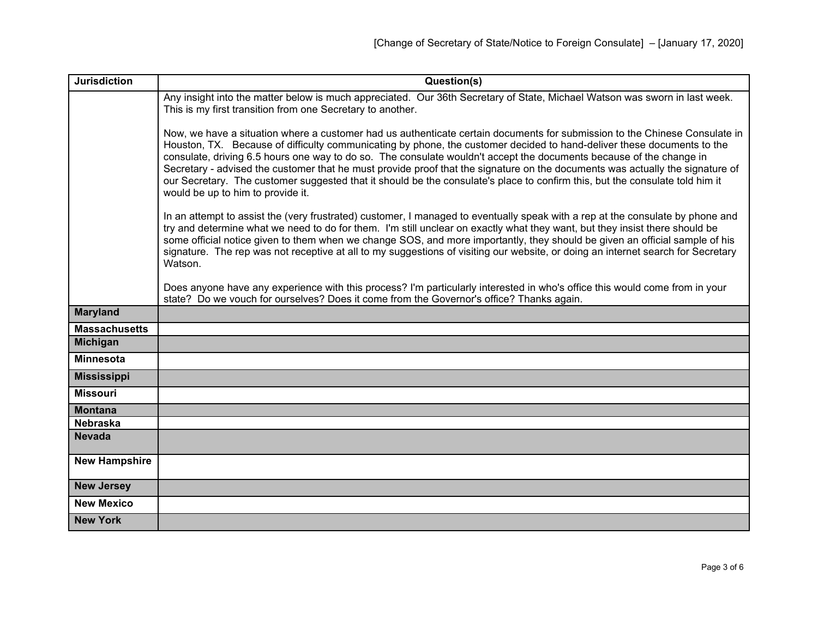| <b>Jurisdiction</b>  | Question(s)                                                                                                                                                                                                                                                                                                                                                                                                                                                                                                                                                                                                                                                                       |
|----------------------|-----------------------------------------------------------------------------------------------------------------------------------------------------------------------------------------------------------------------------------------------------------------------------------------------------------------------------------------------------------------------------------------------------------------------------------------------------------------------------------------------------------------------------------------------------------------------------------------------------------------------------------------------------------------------------------|
|                      | Any insight into the matter below is much appreciated. Our 36th Secretary of State, Michael Watson was sworn in last week.<br>This is my first transition from one Secretary to another.                                                                                                                                                                                                                                                                                                                                                                                                                                                                                          |
|                      | Now, we have a situation where a customer had us authenticate certain documents for submission to the Chinese Consulate in<br>Houston, TX. Because of difficulty communicating by phone, the customer decided to hand-deliver these documents to the<br>consulate, driving 6.5 hours one way to do so. The consulate wouldn't accept the documents because of the change in<br>Secretary - advised the customer that he must provide proof that the signature on the documents was actually the signature of<br>our Secretary. The customer suggested that it should be the consulate's place to confirm this, but the consulate told him it<br>would be up to him to provide it. |
|                      | In an attempt to assist the (very frustrated) customer, I managed to eventually speak with a rep at the consulate by phone and<br>try and determine what we need to do for them. I'm still unclear on exactly what they want, but they insist there should be<br>some official notice given to them when we change SOS, and more importantly, they should be given an official sample of his<br>signature. The rep was not receptive at all to my suggestions of visiting our website, or doing an internet search for Secretary<br>Watson.                                                                                                                                       |
|                      | Does anyone have any experience with this process? I'm particularly interested in who's office this would come from in your<br>state? Do we vouch for ourselves? Does it come from the Governor's office? Thanks again.                                                                                                                                                                                                                                                                                                                                                                                                                                                           |
| <b>Maryland</b>      |                                                                                                                                                                                                                                                                                                                                                                                                                                                                                                                                                                                                                                                                                   |
| <b>Massachusetts</b> |                                                                                                                                                                                                                                                                                                                                                                                                                                                                                                                                                                                                                                                                                   |
| <b>Michigan</b>      |                                                                                                                                                                                                                                                                                                                                                                                                                                                                                                                                                                                                                                                                                   |
| <b>Minnesota</b>     |                                                                                                                                                                                                                                                                                                                                                                                                                                                                                                                                                                                                                                                                                   |
| <b>Mississippi</b>   |                                                                                                                                                                                                                                                                                                                                                                                                                                                                                                                                                                                                                                                                                   |
| <b>Missouri</b>      |                                                                                                                                                                                                                                                                                                                                                                                                                                                                                                                                                                                                                                                                                   |
| <b>Montana</b>       |                                                                                                                                                                                                                                                                                                                                                                                                                                                                                                                                                                                                                                                                                   |
| <b>Nebraska</b>      |                                                                                                                                                                                                                                                                                                                                                                                                                                                                                                                                                                                                                                                                                   |
| <b>Nevada</b>        |                                                                                                                                                                                                                                                                                                                                                                                                                                                                                                                                                                                                                                                                                   |
| <b>New Hampshire</b> |                                                                                                                                                                                                                                                                                                                                                                                                                                                                                                                                                                                                                                                                                   |
| <b>New Jersey</b>    |                                                                                                                                                                                                                                                                                                                                                                                                                                                                                                                                                                                                                                                                                   |
| <b>New Mexico</b>    |                                                                                                                                                                                                                                                                                                                                                                                                                                                                                                                                                                                                                                                                                   |
| <b>New York</b>      |                                                                                                                                                                                                                                                                                                                                                                                                                                                                                                                                                                                                                                                                                   |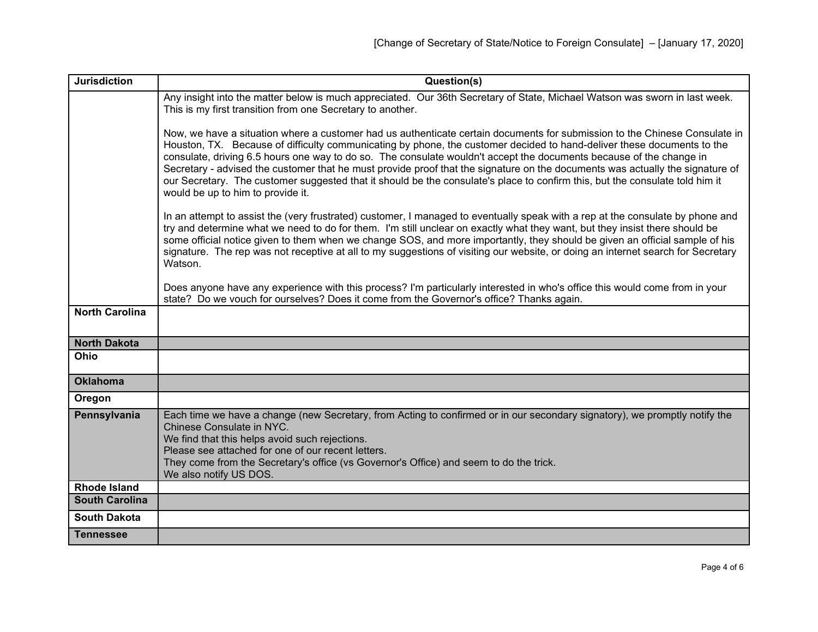| <b>Jurisdiction</b>   | Question(s)                                                                                                                                                                                                                                                                                                                                                                                                                                                                                                                                                                                                                                                                       |
|-----------------------|-----------------------------------------------------------------------------------------------------------------------------------------------------------------------------------------------------------------------------------------------------------------------------------------------------------------------------------------------------------------------------------------------------------------------------------------------------------------------------------------------------------------------------------------------------------------------------------------------------------------------------------------------------------------------------------|
|                       | Any insight into the matter below is much appreciated. Our 36th Secretary of State, Michael Watson was sworn in last week.<br>This is my first transition from one Secretary to another.                                                                                                                                                                                                                                                                                                                                                                                                                                                                                          |
|                       | Now, we have a situation where a customer had us authenticate certain documents for submission to the Chinese Consulate in<br>Houston, TX. Because of difficulty communicating by phone, the customer decided to hand-deliver these documents to the<br>consulate, driving 6.5 hours one way to do so. The consulate wouldn't accept the documents because of the change in<br>Secretary - advised the customer that he must provide proof that the signature on the documents was actually the signature of<br>our Secretary. The customer suggested that it should be the consulate's place to confirm this, but the consulate told him it<br>would be up to him to provide it. |
|                       | In an attempt to assist the (very frustrated) customer, I managed to eventually speak with a rep at the consulate by phone and<br>try and determine what we need to do for them. I'm still unclear on exactly what they want, but they insist there should be<br>some official notice given to them when we change SOS, and more importantly, they should be given an official sample of his<br>signature. The rep was not receptive at all to my suggestions of visiting our website, or doing an internet search for Secretary<br>Watson.                                                                                                                                       |
|                       | Does anyone have any experience with this process? I'm particularly interested in who's office this would come from in your<br>state? Do we vouch for ourselves? Does it come from the Governor's office? Thanks again.                                                                                                                                                                                                                                                                                                                                                                                                                                                           |
| <b>North Carolina</b> |                                                                                                                                                                                                                                                                                                                                                                                                                                                                                                                                                                                                                                                                                   |
| <b>North Dakota</b>   |                                                                                                                                                                                                                                                                                                                                                                                                                                                                                                                                                                                                                                                                                   |
| Ohio                  |                                                                                                                                                                                                                                                                                                                                                                                                                                                                                                                                                                                                                                                                                   |
| <b>Oklahoma</b>       |                                                                                                                                                                                                                                                                                                                                                                                                                                                                                                                                                                                                                                                                                   |
| Oregon                |                                                                                                                                                                                                                                                                                                                                                                                                                                                                                                                                                                                                                                                                                   |
| Pennsylvania          | Each time we have a change (new Secretary, from Acting to confirmed or in our secondary signatory), we promptly notify the<br>Chinese Consulate in NYC.<br>We find that this helps avoid such rejections.<br>Please see attached for one of our recent letters.<br>They come from the Secretary's office (vs Governor's Office) and seem to do the trick.<br>We also notify US DOS.                                                                                                                                                                                                                                                                                               |
| <b>Rhode Island</b>   |                                                                                                                                                                                                                                                                                                                                                                                                                                                                                                                                                                                                                                                                                   |
| <b>South Carolina</b> |                                                                                                                                                                                                                                                                                                                                                                                                                                                                                                                                                                                                                                                                                   |
| <b>South Dakota</b>   |                                                                                                                                                                                                                                                                                                                                                                                                                                                                                                                                                                                                                                                                                   |
| <b>Tennessee</b>      |                                                                                                                                                                                                                                                                                                                                                                                                                                                                                                                                                                                                                                                                                   |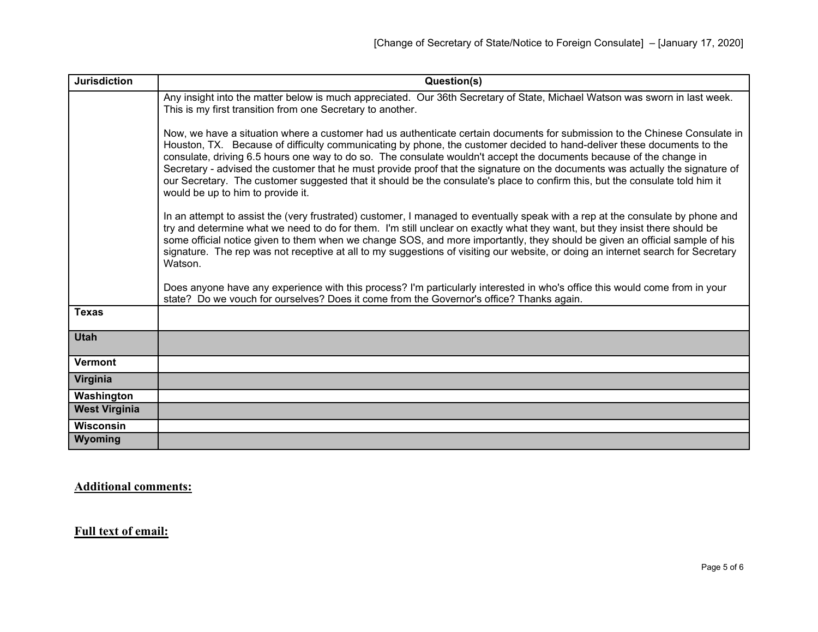| <b>Jurisdiction</b>  | Question(s)                                                                                                                                                                                                                                                                                                                                                                                                                                                                                                                                                                                                                                                                       |
|----------------------|-----------------------------------------------------------------------------------------------------------------------------------------------------------------------------------------------------------------------------------------------------------------------------------------------------------------------------------------------------------------------------------------------------------------------------------------------------------------------------------------------------------------------------------------------------------------------------------------------------------------------------------------------------------------------------------|
|                      | Any insight into the matter below is much appreciated. Our 36th Secretary of State, Michael Watson was sworn in last week.<br>This is my first transition from one Secretary to another.                                                                                                                                                                                                                                                                                                                                                                                                                                                                                          |
|                      | Now, we have a situation where a customer had us authenticate certain documents for submission to the Chinese Consulate in<br>Houston, TX. Because of difficulty communicating by phone, the customer decided to hand-deliver these documents to the<br>consulate, driving 6.5 hours one way to do so. The consulate wouldn't accept the documents because of the change in<br>Secretary - advised the customer that he must provide proof that the signature on the documents was actually the signature of<br>our Secretary. The customer suggested that it should be the consulate's place to confirm this, but the consulate told him it<br>would be up to him to provide it. |
|                      | In an attempt to assist the (very frustrated) customer, I managed to eventually speak with a rep at the consulate by phone and<br>try and determine what we need to do for them. I'm still unclear on exactly what they want, but they insist there should be<br>some official notice given to them when we change SOS, and more importantly, they should be given an official sample of his<br>signature. The rep was not receptive at all to my suggestions of visiting our website, or doing an internet search for Secretary<br>Watson.                                                                                                                                       |
|                      | Does anyone have any experience with this process? I'm particularly interested in who's office this would come from in your<br>state? Do we vouch for ourselves? Does it come from the Governor's office? Thanks again.                                                                                                                                                                                                                                                                                                                                                                                                                                                           |
| <b>Texas</b>         |                                                                                                                                                                                                                                                                                                                                                                                                                                                                                                                                                                                                                                                                                   |
| <b>Utah</b>          |                                                                                                                                                                                                                                                                                                                                                                                                                                                                                                                                                                                                                                                                                   |
| <b>Vermont</b>       |                                                                                                                                                                                                                                                                                                                                                                                                                                                                                                                                                                                                                                                                                   |
| Virginia             |                                                                                                                                                                                                                                                                                                                                                                                                                                                                                                                                                                                                                                                                                   |
| Washington           |                                                                                                                                                                                                                                                                                                                                                                                                                                                                                                                                                                                                                                                                                   |
| <b>West Virginia</b> |                                                                                                                                                                                                                                                                                                                                                                                                                                                                                                                                                                                                                                                                                   |
| Wisconsin            |                                                                                                                                                                                                                                                                                                                                                                                                                                                                                                                                                                                                                                                                                   |
| Wyoming              |                                                                                                                                                                                                                                                                                                                                                                                                                                                                                                                                                                                                                                                                                   |

**Additional comments:**

**Full text of email:**